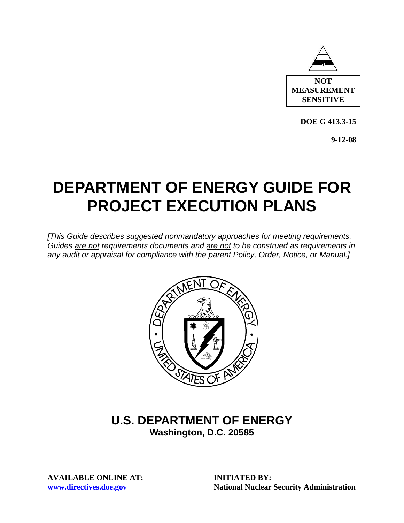

**DOE G 413.3-15** 

**9-12-08** 

# **DEPARTMENT OF ENERGY GUIDE FOR PROJECT EXECUTION PLANS**

*[This Guide describes suggested nonmandatory approaches for meeting requirements. Guides are not requirements documents and are not to be construed as requirements in any audit or appraisal for compliance with the parent Policy, Order, Notice, or Manual.]* 



## **U.S. DEPARTMENT OF ENERGY Washington, D.C. 20585**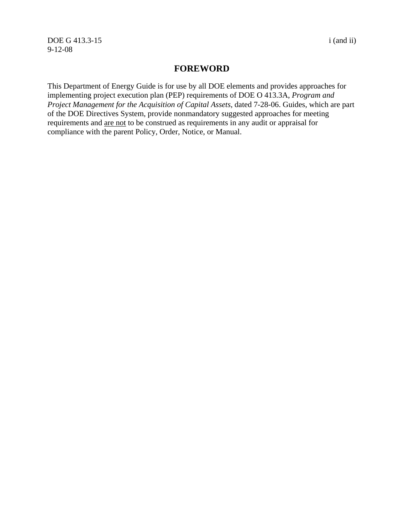DOE G 413.3-15 i (and ii) 9-12-08

#### **FOREWORD**

This Department of Energy Guide is for use by all DOE elements and provides approaches for implementing project execution plan (PEP) requirements of DOE O 413.3A, *Program and Project Management for the Acquisition of Capital Assets*, dated 7-28-06. Guides, which are part of the DOE Directives System, provide nonmandatory suggested approaches for meeting requirements and are not to be construed as requirements in any audit or appraisal for compliance with the parent Policy, Order, Notice, or Manual.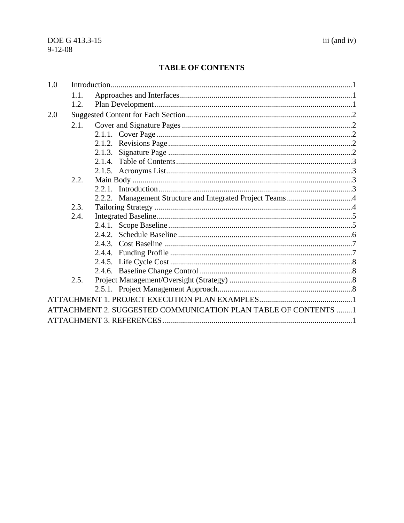#### **TABLE OF CONTENTS**

| 1.0 |      |                                                                |  |
|-----|------|----------------------------------------------------------------|--|
|     | 1.1. |                                                                |  |
|     | 1.2. |                                                                |  |
| 2.0 |      |                                                                |  |
|     | 2.1. |                                                                |  |
|     |      |                                                                |  |
|     |      |                                                                |  |
|     |      |                                                                |  |
|     |      |                                                                |  |
|     |      |                                                                |  |
|     | 2.2. |                                                                |  |
|     |      |                                                                |  |
|     |      |                                                                |  |
|     | 2.3. |                                                                |  |
|     | 2.4. |                                                                |  |
|     |      |                                                                |  |
|     |      |                                                                |  |
|     |      |                                                                |  |
|     |      |                                                                |  |
|     |      |                                                                |  |
|     |      |                                                                |  |
|     | 2.5. |                                                                |  |
|     |      |                                                                |  |
|     |      |                                                                |  |
|     |      | ATTACHMENT 2. SUGGESTED COMMUNICATION PLAN TABLE OF CONTENTS 1 |  |
|     |      |                                                                |  |
|     |      |                                                                |  |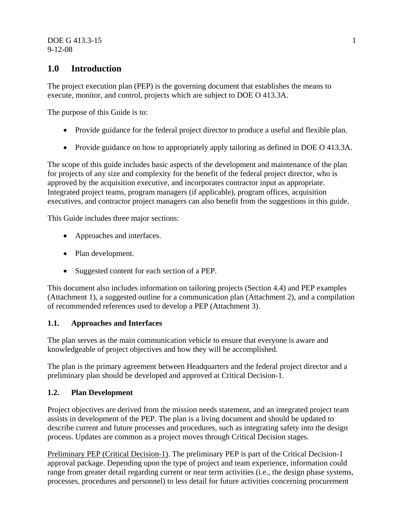DOE G 413.3-15 1 9-12-08

### **1.0 Introduction**

The project execution plan (PEP) is the governing document that establishes the means to execute, monitor, and control, projects which are subject to DOE O 413.3A.

The purpose of this Guide is to:

- Provide guidance for the federal project director to produce a useful and flexible plan.
- Provide guidance on how to appropriately apply tailoring as defined in DOE O 413.3A.

The scope of this guide includes basic aspects of the development and maintenance of the plan for projects of any size and complexity for the benefit of the federal project director, who is approved by the acquisition executive, and incorporates contractor input as appropriate. Integrated project teams, program managers (if applicable), program offices, acquisition executives, and contractor project managers can also benefit from the suggestions in this guide.

This Guide includes three major sections:

- Approaches and interfaces.
- Plan development.
- Suggested content for each section of a PEP.

This document also includes information on tailoring projects (Section 4.4) and PEP examples (Attachment 1), a suggested outline for a communication plan (Attachment 2), and a compilation of recommended references used to develop a PEP (Attachment 3).

#### **1.1. Approaches and Interfaces**

The plan serves as the main communication vehicle to ensure that everyone is aware and knowledgeable of project objectives and how they will be accomplished.

The plan is the primary agreement between Headquarters and the federal project director and a preliminary plan should be developed and approved at Critical Decision-1.

#### **1.2. Plan Development**

Project objectives are derived from the mission needs statement, and an integrated project team assists in development of the PEP. The plan is a living document and should be updated to describe current and future processes and procedures, such as integrating safety into the design process. Updates are common as a project moves through Critical Decision stages.

Preliminary PEP (Critical Decision-1). The preliminary PEP is part of the Critical Decision-1 approval package. Depending upon the type of project and team experience, information could range from greater detail regarding current or near term activities (i.e., the design phase systems, processes, procedures and personnel) to less detail for future activities concerning procurement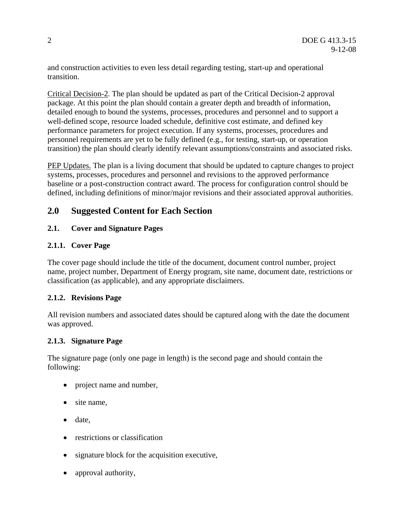and construction activities to even less detail regarding testing, start-up and operational transition.

Critical Decision-2. The plan should be updated as part of the Critical Decision-2 approval package. At this point the plan should contain a greater depth and breadth of information, detailed enough to bound the systems, processes, procedures and personnel and to support a well-defined scope, resource loaded schedule, definitive cost estimate, and defined key performance parameters for project execution. If any systems, processes, procedures and personnel requirements are yet to be fully defined (e.g., for testing, start-up, or operation transition) the plan should clearly identify relevant assumptions/constraints and associated risks.

PEP Updates. The plan is a living document that should be updated to capture changes to project systems, processes, procedures and personnel and revisions to the approved performance baseline or a post-construction contract award. The process for configuration control should be defined, including definitions of minor/major revisions and their associated approval authorities.

### **2.0 Suggested Content for Each Section**

#### **2.1. Cover and Signature Pages**

#### **2.1.1. Cover Page**

The cover page should include the title of the document, document control number, project name, project number, Department of Energy program, site name, document date, restrictions or classification (as applicable), and any appropriate disclaimers.

#### **2.1.2. Revisions Page**

All revision numbers and associated dates should be captured along with the date the document was approved.

#### **2.1.3. Signature Page**

The signature page (only one page in length) is the second page and should contain the following:

- project name and number,
- site name,
- date.
- restrictions or classification
- signature block for the acquisition executive,
- approval authority,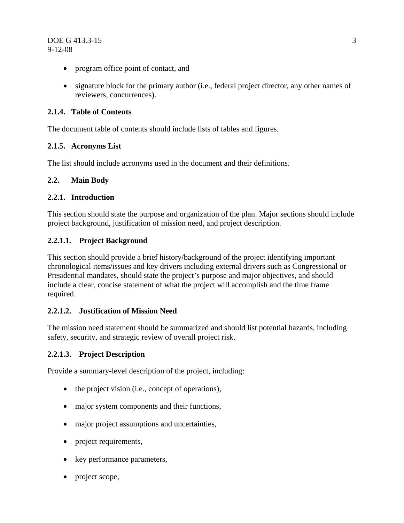- program office point of contact, and
- signature block for the primary author (i.e., federal project director, any other names of reviewers, concurrences).

#### **2.1.4. Table of Contents**

The document table of contents should include lists of tables and figures.

#### **2.1.5. Acronyms List**

The list should include acronyms used in the document and their definitions.

#### **2.2. Main Body**

#### **2.2.1. Introduction**

This section should state the purpose and organization of the plan. Major sections should include project background, justification of mission need, and project description.

#### **2.2.1.1. Project Background**

This section should provide a brief history/background of the project identifying important chronological items/issues and key drivers including external drivers such as Congressional or Presidential mandates, should state the project's purpose and major objectives, and should include a clear, concise statement of what the project will accomplish and the time frame required.

#### **2.2.1.2. Justification of Mission Need**

The mission need statement should be summarized and should list potential hazards, including safety, security, and strategic review of overall project risk.

#### **2.2.1.3. Project Description**

Provide a summary-level description of the project, including:

- the project vision (i.e., concept of operations),
- major system components and their functions,
- major project assumptions and uncertainties,
- project requirements,
- key performance parameters,
- project scope,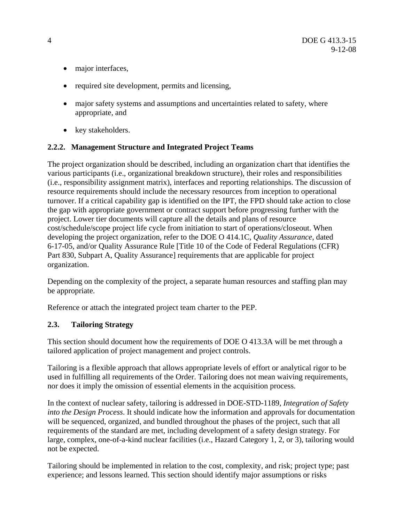- major interfaces,
- required site development, permits and licensing,
- major safety systems and assumptions and uncertainties related to safety, where appropriate, and
- key stakeholders.

#### **2.2.2. Management Structure and Integrated Project Teams**

The project organization should be described, including an organization chart that identifies the various participants (i.e., organizational breakdown structure), their roles and responsibilities (i.e., responsibility assignment matrix), interfaces and reporting relationships. The discussion of resource requirements should include the necessary resources from inception to operational turnover. If a critical capability gap is identified on the IPT, the FPD should take action to close the gap with appropriate government or contract support before progressing further with the project. Lower tier documents will capture all the details and plans of resource cost/schedule/scope project life cycle from initiation to start of operations/closeout. When developing the project organization, refer to the DOE O 414.1C, *Quality Assurance*, dated 6-17-05, and/or Quality Assurance Rule [Title 10 of the Code of Federal Regulations (CFR) Part 830, Subpart A, Quality Assurance] requirements that are applicable for project organization.

Depending on the complexity of the project, a separate human resources and staffing plan may be appropriate.

Reference or attach the integrated project team charter to the PEP.

#### **2.3. Tailoring Strategy**

This section should document how the requirements of DOE O 413.3A will be met through a tailored application of project management and project controls.

Tailoring is a flexible approach that allows appropriate levels of effort or analytical rigor to be used in fulfilling all requirements of the Order. Tailoring does not mean waiving requirements, nor does it imply the omission of essential elements in the acquisition process.

In the context of nuclear safety, tailoring is addressed in DOE-STD-1189, *Integration of Safety into the Design Process*. It should indicate how the information and approvals for documentation will be sequenced, organized, and bundled throughout the phases of the project, such that all requirements of the standard are met, including development of a safety design strategy. For large, complex, one-of-a-kind nuclear facilities (i.e., Hazard Category 1, 2, or 3), tailoring would not be expected.

Tailoring should be implemented in relation to the cost, complexity, and risk; project type; past experience; and lessons learned. This section should identify major assumptions or risks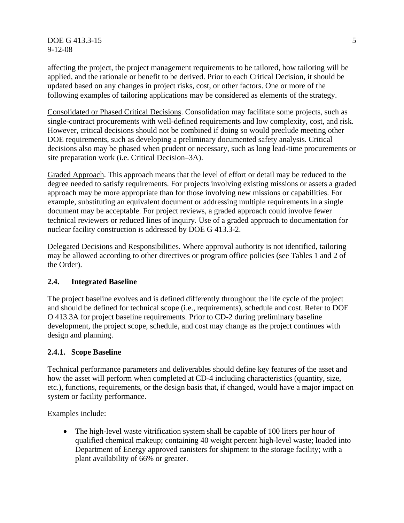DOE G 413.3-15 5 9-12-08

affecting the project, the project management requirements to be tailored, how tailoring will be applied, and the rationale or benefit to be derived. Prior to each Critical Decision, it should be updated based on any changes in project risks, cost, or other factors. One or more of the following examples of tailoring applications may be considered as elements of the strategy.

Consolidated or Phased Critical Decisions. Consolidation may facilitate some projects, such as single-contract procurements with well-defined requirements and low complexity, cost, and risk. However, critical decisions should not be combined if doing so would preclude meeting other DOE requirements, such as developing a preliminary documented safety analysis. Critical decisions also may be phased when prudent or necessary, such as long lead-time procurements or site preparation work (i.e. Critical Decision–3A).

Graded Approach. This approach means that the level of effort or detail may be reduced to the degree needed to satisfy requirements. For projects involving existing missions or assets a graded approach may be more appropriate than for those involving new missions or capabilities. For example, substituting an equivalent document or addressing multiple requirements in a single document may be acceptable. For project reviews, a graded approach could involve fewer technical reviewers or reduced lines of inquiry. Use of a graded approach to documentation for nuclear facility construction is addressed by DOE G 413.3-2.

Delegated Decisions and Responsibilities. Where approval authority is not identified, tailoring may be allowed according to other directives or program office policies (see Tables 1 and 2 of the Order).

#### **2.4. Integrated Baseline**

The project baseline evolves and is defined differently throughout the life cycle of the project and should be defined for technical scope (i.e., requirements), schedule and cost. Refer to DOE O 413.3A for project baseline requirements. Prior to CD-2 during preliminary baseline development, the project scope, schedule, and cost may change as the project continues with design and planning.

#### **2.4.1. Scope Baseline**

Technical performance parameters and deliverables should define key features of the asset and how the asset will perform when completed at CD-4 including characteristics (quantity, size, etc.), functions, requirements, or the design basis that, if changed, would have a major impact on system or facility performance.

Examples include:

• The high-level waste vitrification system shall be capable of 100 liters per hour of qualified chemical makeup; containing 40 weight percent high-level waste; loaded into Department of Energy approved canisters for shipment to the storage facility; with a plant availability of 66% or greater.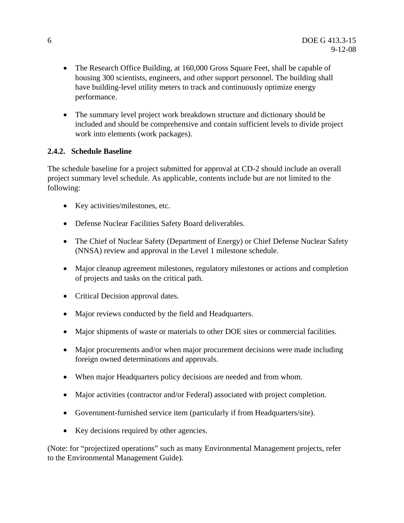- The Research Office Building, at 160,000 Gross Square Feet, shall be capable of housing 300 scientists, engineers, and other support personnel. The building shall have building-level utility meters to track and continuously optimize energy performance.
- The summary level project work breakdown structure and dictionary should be included and should be comprehensive and contain sufficient levels to divide project work into elements (work packages).

#### **2.4.2. Schedule Baseline**

The schedule baseline for a project submitted for approval at CD-2 should include an overall project summary level schedule. As applicable, contents include but are not limited to the following:

- Key activities/milestones, etc.
- Defense Nuclear Facilities Safety Board deliverables.
- The Chief of Nuclear Safety (Department of Energy) or Chief Defense Nuclear Safety (NNSA) review and approval in the Level 1 milestone schedule.
- Major cleanup agreement milestones, regulatory milestones or actions and completion of projects and tasks on the critical path.
- Critical Decision approval dates.
- Major reviews conducted by the field and Headquarters.
- Major shipments of waste or materials to other DOE sites or commercial facilities.
- Major procurements and/or when major procurement decisions were made including foreign owned determinations and approvals.
- When major Headquarters policy decisions are needed and from whom.
- Major activities (contractor and/or Federal) associated with project completion.
- Government-furnished service item (particularly if from Headquarters/site).
- Key decisions required by other agencies.

(Note: for "projectized operations" such as many Environmental Management projects, refer to the Environmental Management Guide).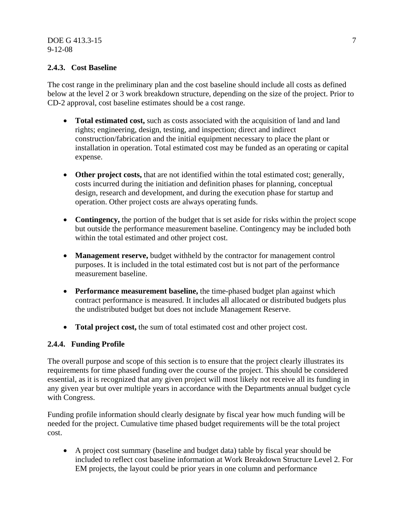#### **2.4.3. Cost Baseline**

The cost range in the preliminary plan and the cost baseline should include all costs as defined below at the level 2 or 3 work breakdown structure, depending on the size of the project. Prior to CD-2 approval, cost baseline estimates should be a cost range.

- **Total estimated cost,** such as costs associated with the acquisition of land and land rights; engineering, design, testing, and inspection; direct and indirect construction/fabrication and the initial equipment necessary to place the plant or installation in operation. Total estimated cost may be funded as an operating or capital expense.
- **Other project costs,** that are not identified within the total estimated cost; generally, costs incurred during the initiation and definition phases for planning, conceptual design, research and development, and during the execution phase for startup and operation. Other project costs are always operating funds.
- **Contingency,** the portion of the budget that is set aside for risks within the project scope but outside the performance measurement baseline. Contingency may be included both within the total estimated and other project cost.
- **Management reserve,** budget withheld by the contractor for management control purposes. It is included in the total estimated cost but is not part of the performance measurement baseline.
- **Performance measurement baseline,** the time-phased budget plan against which contract performance is measured. It includes all allocated or distributed budgets plus the undistributed budget but does not include Management Reserve.
- **Total project cost,** the sum of total estimated cost and other project cost.

#### **2.4.4. Funding Profile**

The overall purpose and scope of this section is to ensure that the project clearly illustrates its requirements for time phased funding over the course of the project. This should be considered essential, as it is recognized that any given project will most likely not receive all its funding in any given year but over multiple years in accordance with the Departments annual budget cycle with Congress.

Funding profile information should clearly designate by fiscal year how much funding will be needed for the project. Cumulative time phased budget requirements will be the total project cost.

• A project cost summary (baseline and budget data) table by fiscal year should be included to reflect cost baseline information at Work Breakdown Structure Level 2. For EM projects, the layout could be prior years in one column and performance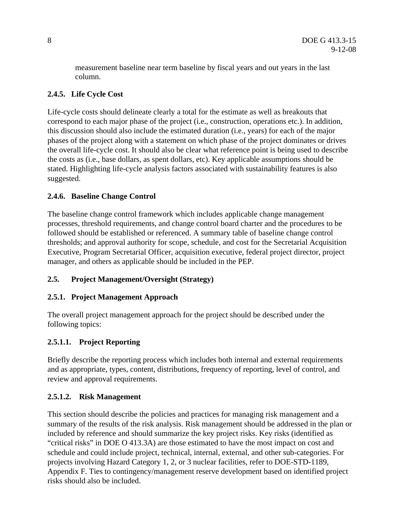measurement baseline near term baseline by fiscal years and out years in the last column.

### **2.4.5. Life Cycle Cost**

Life-cycle costs should delineate clearly a total for the estimate as well as breakouts that correspond to each major phase of the project (i.e., construction, operations etc.). In addition, this discussion should also include the estimated duration (i.e., years) for each of the major phases of the project along with a statement on which phase of the project dominates or drives the overall life-cycle cost. It should also be clear what reference point is being used to describe the costs as (i.e., base dollars, as spent dollars, etc). Key applicable assumptions should be stated. Highlighting life-cycle analysis factors associated with sustainability features is also suggested.

#### **2.4.6. Baseline Change Control**

The baseline change control framework which includes applicable change management processes, threshold requirements, and change control board charter and the procedures to be followed should be established or referenced. A summary table of baseline change control thresholds; and approval authority for scope, schedule, and cost for the Secretarial Acquisition Executive, Program Secretarial Officer, acquisition executive, federal project director, project manager, and others as applicable should be included in the PEP.

#### **2.5. Project Management/Oversight (Strategy)**

#### **2.5.1. Project Management Approach**

The overall project management approach for the project should be described under the following topics:

#### **2.5.1.1. Project Reporting**

Briefly describe the reporting process which includes both internal and external requirements and as appropriate, types, content, distributions, frequency of reporting, level of control, and review and approval requirements.

#### **2.5.1.2. Risk Management**

This section should describe the policies and practices for managing risk management and a summary of the results of the risk analysis. Risk management should be addressed in the plan or included by reference and should summarize the key project risks. Key risks (identified as "critical risks" in DOE O 413.3A) are those estimated to have the most impact on cost and schedule and could include project, technical, internal, external, and other sub-categories. For projects involving Hazard Category 1, 2, or 3 nuclear facilities, refer to DOE-STD-1189, Appendix F. Ties to contingency/management reserve development based on identified project risks should also be included.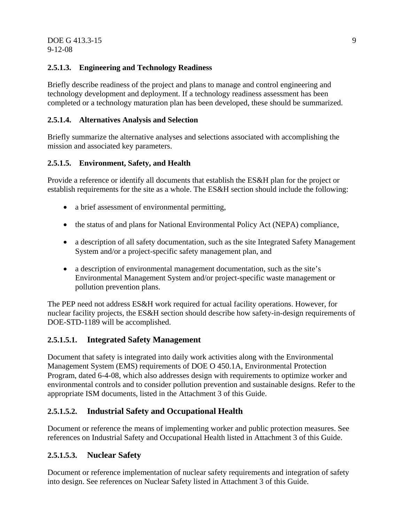#### **2.5.1.3. Engineering and Technology Readiness**

Briefly describe readiness of the project and plans to manage and control engineering and technology development and deployment. If a technology readiness assessment has been completed or a technology maturation plan has been developed, these should be summarized.

#### **2.5.1.4. Alternatives Analysis and Selection**

Briefly summarize the alternative analyses and selections associated with accomplishing the mission and associated key parameters.

#### **2.5.1.5. Environment, Safety, and Health**

Provide a reference or identify all documents that establish the ES&H plan for the project or establish requirements for the site as a whole. The ES&H section should include the following:

- a brief assessment of environmental permitting,
- the status of and plans for National Environmental Policy Act (NEPA) compliance,
- a description of all safety documentation, such as the site Integrated Safety Management System and/or a project-specific safety management plan, and
- a description of environmental management documentation, such as the site's Environmental Management System and/or project-specific waste management or pollution prevention plans.

The PEP need not address ES&H work required for actual facility operations. However, for nuclear facility projects, the ES&H section should describe how safety-in-design requirements of DOE-STD-1189 will be accomplished.

#### **2.5.1.5.1. Integrated Safety Management**

Document that safety is integrated into daily work activities along with the Environmental Management System (EMS) requirements of DOE O 450.1A, Environmental Protection Program, dated 6-4-08, which also addresses design with requirements to optimize worker and environmental controls and to consider pollution prevention and sustainable designs. Refer to the appropriate ISM documents, listed in the Attachment 3 of this Guide.

#### **2.5.1.5.2. Industrial Safety and Occupational Health**

Document or reference the means of implementing worker and public protection measures. See references on Industrial Safety and Occupational Health listed in Attachment 3 of this Guide.

#### **2.5.1.5.3. Nuclear Safety**

Document or reference implementation of nuclear safety requirements and integration of safety into design. See references on Nuclear Safety listed in Attachment 3 of this Guide.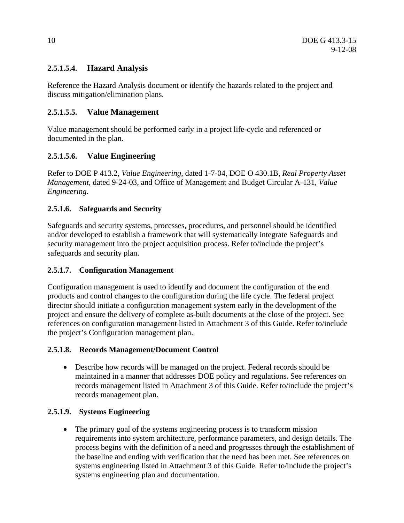#### **2.5.1.5.4. Hazard Analysis**

Reference the Hazard Analysis document or identify the hazards related to the project and discuss mitigation/elimination plans.

#### **2.5.1.5.5. Value Management**

Value management should be performed early in a project life-cycle and referenced or documented in the plan.

#### **2.5.1.5.6. Value Engineering**

Refer to DOE P 413.2, *Value Engineering*, dated 1-7-04, DOE O 430.1B, *Real Property Asset Management*, dated 9-24-03, and Office of Management and Budget Circular A-131, *Value Engineering*.

#### **2.5.1.6. Safeguards and Security**

Safeguards and security systems, processes, procedures, and personnel should be identified and/or developed to establish a framework that will systematically integrate Safeguards and security management into the project acquisition process. Refer to/include the project's safeguards and security plan.

#### **2.5.1.7. Configuration Management**

Configuration management is used to identify and document the configuration of the end products and control changes to the configuration during the life cycle. The federal project director should initiate a configuration management system early in the development of the project and ensure the delivery of complete as-built documents at the close of the project. See references on configuration management listed in Attachment 3 of this Guide. Refer to/include the project's Configuration management plan.

#### **2.5.1.8. Records Management/Document Control**

• Describe how records will be managed on the project. Federal records should be maintained in a manner that addresses DOE policy and regulations. See references on records management listed in Attachment 3 of this Guide. Refer to/include the project's records management plan.

#### **2.5.1.9. Systems Engineering**

• The primary goal of the systems engineering process is to transform mission requirements into system architecture, performance parameters, and design details. The process begins with the definition of a need and progresses through the establishment of the baseline and ending with verification that the need has been met. See references on systems engineering listed in Attachment 3 of this Guide. Refer to/include the project's systems engineering plan and documentation.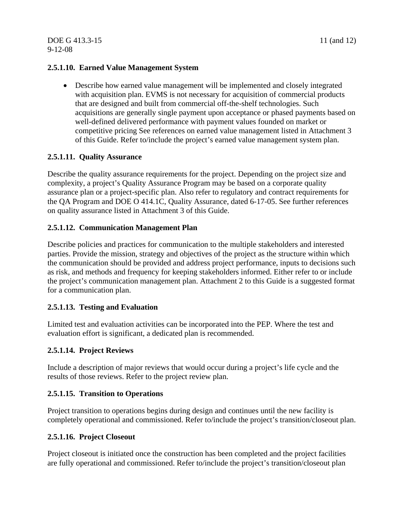#### **2.5.1.10. Earned Value Management System**

• Describe how earned value management will be implemented and closely integrated with acquisition plan. EVMS is not necessary for acquisition of commercial products that are designed and built from commercial off-the-shelf technologies. Such acquisitions are generally single payment upon acceptance or phased payments based on well-defined delivered performance with payment values founded on market or competitive pricing See references on earned value management listed in Attachment 3 of this Guide. Refer to/include the project's earned value management system plan.

#### **2.5.1.11. Quality Assurance**

Describe the quality assurance requirements for the project. Depending on the project size and complexity, a project's Quality Assurance Program may be based on a corporate quality assurance plan or a project-specific plan. Also refer to regulatory and contract requirements for the QA Program and DOE O 414.1C, Quality Assurance, dated 6-17-05. See further references on quality assurance listed in Attachment 3 of this Guide.

#### **2.5.1.12. Communication Management Plan**

Describe policies and practices for communication to the multiple stakeholders and interested parties. Provide the mission, strategy and objectives of the project as the structure within which the communication should be provided and address project performance, inputs to decisions such as risk, and methods and frequency for keeping stakeholders informed. Either refer to or include the project's communication management plan. Attachment 2 to this Guide is a suggested format for a communication plan.

#### **2.5.1.13. Testing and Evaluation**

Limited test and evaluation activities can be incorporated into the PEP. Where the test and evaluation effort is significant, a dedicated plan is recommended.

#### **2.5.1.14. Project Reviews**

Include a description of major reviews that would occur during a project's life cycle and the results of those reviews. Refer to the project review plan.

#### **2.5.1.15. Transition to Operations**

Project transition to operations begins during design and continues until the new facility is completely operational and commissioned. Refer to/include the project's transition/closeout plan.

#### **2.5.1.16. Project Closeout**

Project closeout is initiated once the construction has been completed and the project facilities are fully operational and commissioned. Refer to/include the project's transition/closeout plan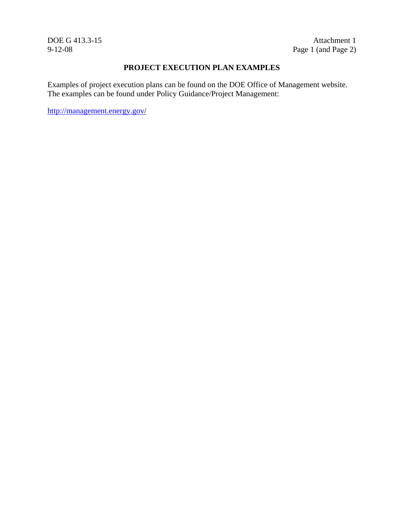DOE G 413.3-15 Attachment 1<br>9-12-08 Page 1 (and Page 2) Page 1 (and Page 2)

#### **PROJECT EXECUTION PLAN EXAMPLES**

Examples of project execution plans can be found on the DOE Office of Management website. The examples can be found under Policy Guidance/Project Management:

http://management.energy.gov/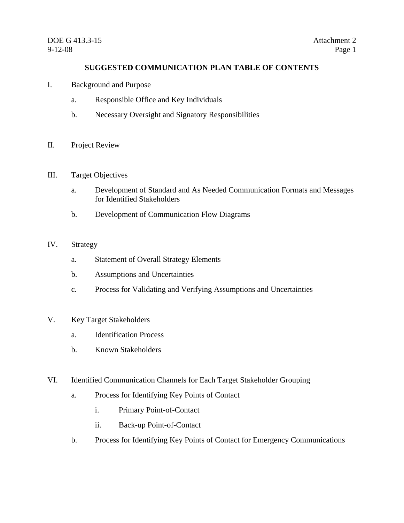#### **SUGGESTED COMMUNICATION PLAN TABLE OF CONTENTS**

- I. Background and Purpose
	- a. Responsible Office and Key Individuals
	- b. Necessary Oversight and Signatory Responsibilities
- II. Project Review
- III. Target Objectives
	- a. Development of Standard and As Needed Communication Formats and Messages for Identified Stakeholders
	- b. Development of Communication Flow Diagrams

#### IV. Strategy

- a. Statement of Overall Strategy Elements
- b. Assumptions and Uncertainties
- c. Process for Validating and Verifying Assumptions and Uncertainties
- V. Key Target Stakeholders
	- a. Identification Process
	- b. Known Stakeholders
- VI. Identified Communication Channels for Each Target Stakeholder Grouping
	- a. Process for Identifying Key Points of Contact
		- i. Primary Point-of-Contact
		- ii. Back-up Point-of-Contact
	- b. Process for Identifying Key Points of Contact for Emergency Communications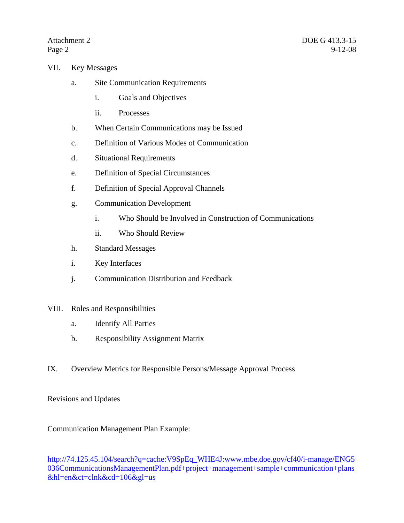- VII. Key Messages
	- a. Site Communication Requirements
		- i. Goals and Objectives
		- ii. Processes
	- b. When Certain Communications may be Issued
	- c. Definition of Various Modes of Communication
	- d. Situational Requirements
	- e. Definition of Special Circumstances
	- f. Definition of Special Approval Channels
	- g. Communication Development
		- i. Who Should be Involved in Construction of Communications
		- ii. Who Should Review
	- h. Standard Messages
	- i. Key Interfaces
	- j. Communication Distribution and Feedback

#### VIII. Roles and Responsibilities

- a. Identify All Parties
- b. Responsibility Assignment Matrix
- IX. Overview Metrics for Responsible Persons/Message Approval Process

#### Revisions and Updates

#### Communication Management Plan Example:

http://74.125.45.104/search?q=cache:V9SpEq\_WHE4J:www.mbe.doe.gov/cf40/i-manage/ENG5 036CommunicationsManagementPlan.pdf+project+management+sample+communication+plans &hl=en&ct=clnk&cd=106&gl=us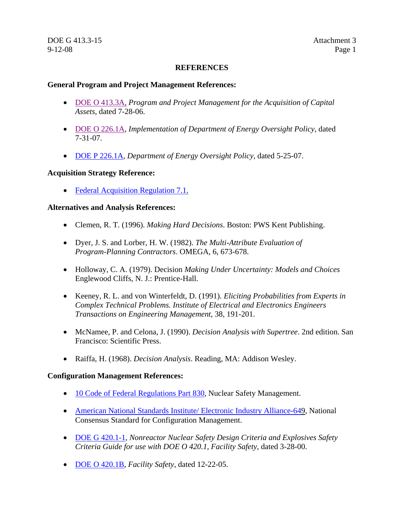#### **REFERENCES**

#### **General Program and Project Management References:**

- DOE O 413.3A, *Program and Project Management for the Acquisition of Capital Assets*, dated 7-28-06.
- DOE O 226.1A, *Implementation of Department of Energy Oversight Policy*, dated 7-31-07.
- DOE P 226.1A, *Department of Energy Oversight Policy*, dated 5-25-07.

#### **Acquisition Strategy Reference:**

• Federal Acquisition Regulation 7.1.

#### **Alternatives and Analysis References:**

- Clemen, R. T. (1996). *Making Hard Decisions*. Boston: PWS Kent Publishing.
- Dyer, J. S. and Lorber, H. W. (1982). *The Multi-Attribute Evaluation of Program-Planning Contractors*. OMEGA, 6, 673-678.
- Holloway, C. A. (1979). Decision *Making Under Uncertainty: Models and Choices* Englewood Cliffs, N. J.: Prentice-Hall.
- Keeney, R. L. and von Winterfeldt, D. (1991). *Eliciting Probabilities from Experts in Complex Technical Problems. Institute of Electrical and Electronics Engineers Transactions on Engineering Management,* 38, 191-201.
- McNamee, P. and Celona, J. (1990). *Decision Analysis with Supertree*. 2nd edition. San Francisco: Scientific Press.
- Raiffa, H. (1968). *Decision Analysis*. Reading, MA: Addison Wesley.

#### **Configuration Management References:**

- 10 Code of Federal Regulations Part 830, Nuclear Safety Management.
- American National Standards Institute/ Electronic Industry Alliance-649, National Consensus Standard for Configuration Management.
- DOE G 420.1-1, *Nonreactor Nuclear Safety Design Criteria and Explosives Safety Criteria Guide for use with DOE O 420.1, Facility Safety*, dated 3-28-00.
- DOE O 420.1B, *Facility Safety*, dated 12-22-05.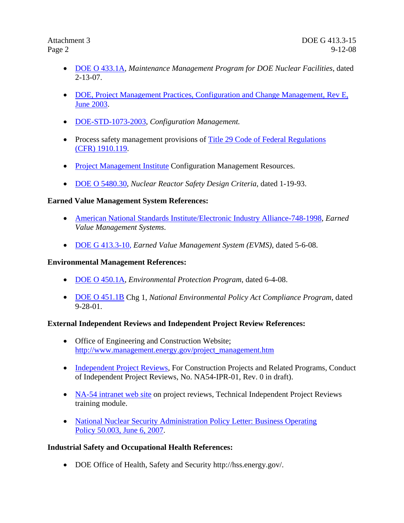- DOE O 433.1A, *Maintenance Management Program for DOE Nuclear Facilities*, dated 2-13-07.
- DOE, Project Management Practices, Configuration and Change Management, Rev E, June 2003.
- DOE-STD-1073-2003, *Configuration Management.*
- Process safety management provisions of Title 29 Code of Federal Regulations (CFR) 1910.119.
- Project Management Institute Configuration Management Resources.
- DOE O 5480.30, *Nuclear Reactor Safety Design Criteria*, dated 1-19-93.

#### **Earned Value Management System References:**

- American National Standards Institute/Electronic Industry Alliance-748-1998, *Earned Value Management Systems*.
- DOE G 413.3-10, *Earned Value Management System (EVMS)*, dated 5-6-08.

#### **Environmental Management References:**

- DOE O 450.1A, *Environmental Protection Program*, dated 6-4-08.
- DOE O 451.1B Chg 1, *National Environmental Policy Act Compliance Program*, dated 9-28-01.

#### **External Independent Reviews and Independent Project Review References:**

- Office of Engineering and Construction Website; http://www.management.energy.gov/project\_management.htm
- Independent Project Reviews, For Construction Projects and Related Programs, Conduct of Independent Project Reviews, No. NA54-IPR-01, Rev. 0 in draft).
- NA-54 intranet web site on project reviews, Technical Independent Project Reviews training module.
- National Nuclear Security Administration Policy Letter: Business Operating Policy 50.003, June 6, 2007.

#### **Industrial Safety and Occupational Health References:**

• DOE Office of Health, Safety and Security http://hss.energy.gov/.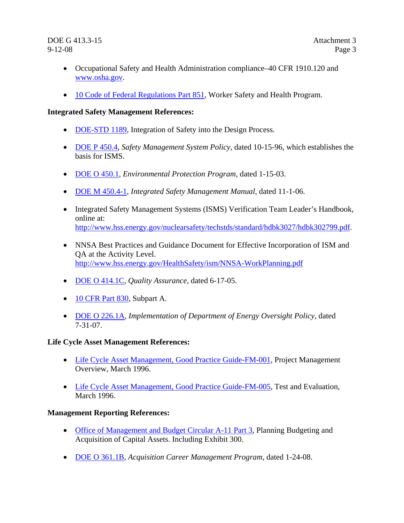- Occupational Safety and Health Administration compliance–40 CFR 1910.120 and www.osha.gov.
- 10 Code of Federal Regulations Part 851, Worker Safety and Health Program.

#### **Integrated Safety Management References:**

- DOE-STD 1189, Integration of Safety into the Design Process.
- DOE P 450.4, *Safety Management System Policy*, dated 10-15-96, which establishes the basis for ISMS.
- DOE O 450.1, *Environmental Protection Program*, dated 1-15-03.
- DOE M 450.4-1, *Integrated Safety Management Manual*, dated 11-1-06.
- Integrated Safety Management Systems (ISMS) Verification Team Leader's Handbook, online at: http://www.hss.energy.gov/nuclearsafety/techstds/standard/hdbk3027/hdbk302799.pdf.
- NNSA Best Practices and Guidance Document for Effective Incorporation of ISM and QA at the Activity Level. http://www.hss.energy.gov/HealthSafety/ism/NNSA-WorkPlanning.pdf
- DOE O 414.1C, *Quality Assurance*, dated 6-17-05.
- 10 CFR Part 830, Subpart A.
- DOE O 226.1A, *Implementation of Department of Energy Oversight Policy*, dated 7-31-07.

#### **Life Cycle Asset Management References:**

- Life Cycle Asset Management, Good Practice Guide-FM-001, Project Management Overview, March 1996.
- Life Cycle Asset Management, Good Practice Guide-FM-005, Test and Evaluation, March 1996.

#### **Management Reporting References:**

- Office of Management and Budget Circular A-11 Part 3, Planning Budgeting and Acquisition of Capital Assets. Including Exhibit 300.
- DOE O 361.1B, *Acquisition Career Management Program*, dated 1-24-08.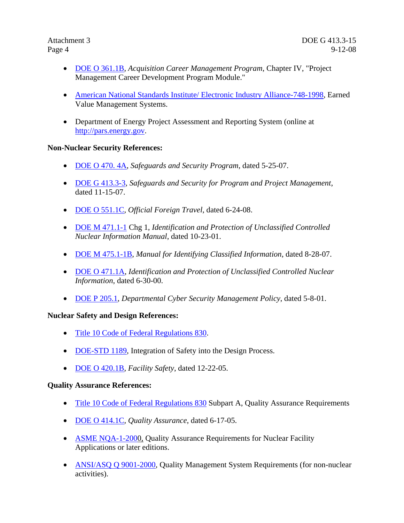- DOE O 361.1B, *Acquisition Career Management Program*, Chapter IV, "Project Management Career Development Program Module."
- American National Standards Institute/ Electronic Industry Alliance-748-1998, Earned Value Management Systems.
- Department of Energy Project Assessment and Reporting System (online at http://pars.energy.gov.

#### **Non-Nuclear Security References:**

- DOE O 470. 4A, *Safeguards and Security Program*, dated 5-25-07.
- DOE G 413.3-3, *Safeguards and Security for Program and Project Management*, dated 11-15-07.
- DOE O 551.1C, *Official Foreign Travel*, dated 6-24-08.
- DOE M 471.1-1 Chg 1, *Identification and Protection of Unclassified Controlled Nuclear Information Manual*, dated 10-23-01.
- DOE M 475.1-1B, *Manual for Identifying Classified Information*, dated 8-28-07.
- DOE O 471.1A, *Identification and Protection of Unclassified Controlled Nuclear Information*, dated 6-30-00.
- DOE P 205.1, *Departmental Cyber Security Management Policy*, dated 5-8-01.

#### **Nuclear Safety and Design References:**

- Title 10 Code of Federal Regulations 830.
- DOE-STD 1189, Integration of Safety into the Design Process.
- DOE O 420.1B, *Facility Safety*, dated 12-22-05.

#### **Quality Assurance References:**

- Title 10 Code of Federal Regulations 830 Subpart A, Quality Assurance Requirements
- DOE O 414.1C, *Quality Assurance*, dated 6-17-05.
- ASME NQA-1-2000, Quality Assurance Requirements for Nuclear Facility Applications or later editions.
- ANSI/ASQ Q 9001-2000, Quality Management System Requirements (for non-nuclear activities).